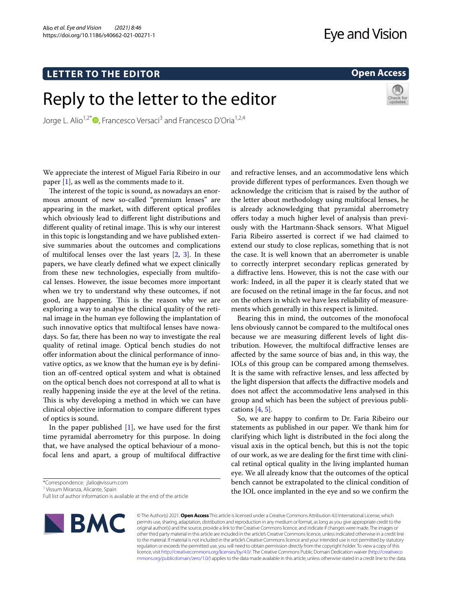# **LETTER TO THE EDITOR**

# Reply to the letter to the editor

Jorge L. Alio<sup>1,2\*</sup> **D**[,](http://orcid.org/0000-0002-8082-1751) Francesco Versaci<sup>3</sup> and Francesco D'Oria<sup>1,2,4</sup>

We appreciate the interest of Miguel Faria Ribeiro in our paper [\[1](#page-1-0)], as well as the comments made to it.

The interest of the topic is sound, as nowadays an enormous amount of new so-called "premium lenses" are appearing in the market, with diferent optical profles which obviously lead to diferent light distributions and different quality of retinal image. This is why our interest in this topic is longstanding and we have published extensive summaries about the outcomes and complications of multifocal lenses over the last years  $[2, 3]$  $[2, 3]$  $[2, 3]$  $[2, 3]$ . In these papers, we have clearly defned what we expect clinically from these new technologies, especially from multifocal lenses. However, the issue becomes more important when we try to understand why these outcomes, if not good, are happening. This is the reason why we are exploring a way to analyse the clinical quality of the retinal image in the human eye following the implantation of such innovative optics that multifocal lenses have nowadays. So far, there has been no way to investigate the real quality of retinal image. Optical bench studies do not ofer information about the clinical performance of innovative optics, as we know that the human eye is by defnition an off-centred optical system and what is obtained on the optical bench does not correspond at all to what is really happening inside the eye at the level of the retina. This is why developing a method in which we can have clinical objective information to compare diferent types of optics is sound.

In the paper published  $[1]$  $[1]$ , we have used for the first time pyramidal aberrometry for this purpose. In doing that, we have analysed the optical behaviour of a monofocal lens and apart, a group of multifocal difractive

\*Correspondence: jlalio@vissum.com

<sup>1</sup> Vissum Miranza, Alicante, Spain

Full list of author information is available at the end of the article



and refractive lenses, and an accommodative lens which provide diferent types of performances. Even though we acknowledge the criticism that is raised by the author of the letter about methodology using multifocal lenses, he is already acknowledging that pyramidal aberrometry

offers today a much higher level of analysis than previously with the Hartmann-Shack sensors. What Miguel Faria Ribeiro asserted is correct if we had claimed to extend our study to close replicas, something that is not the case. It is well known that an aberrometer is unable to correctly interpret secondary replicas generated by a difractive lens. However, this is not the case with our work: Indeed, in all the paper it is clearly stated that we are focused on the retinal image in the far focus, and not on the others in which we have less reliability of measurements which generally in this respect is limited.

Bearing this in mind, the outcomes of the monofocal lens obviously cannot be compared to the multifocal ones because we are measuring diferent levels of light distribution. However, the multifocal difractive lenses are afected by the same source of bias and, in this way, the IOLs of this group can be compared among themselves. It is the same with refractive lenses, and less afected by the light dispersion that afects the difractive models and does not afect the accommodative lens analysed in this group and which has been the subject of previous publications  $[4, 5]$  $[4, 5]$  $[4, 5]$ .

So, we are happy to confrm to Dr. Faria Ribeiro our statements as published in our paper. We thank him for clarifying which light is distributed in the foci along the visual axis in the optical bench, but this is not the topic of our work, as we are dealing for the frst time with clinical retinal optical quality in the living implanted human eye. We all already know that the outcomes of the optical bench cannot be extrapolated to the clinical condition of the IOL once implanted in the eye and so we confrm the

© The Author(s) 2021. **Open Access** This article is licensed under a Creative Commons Attribution 4.0 International License, which permits use, sharing, adaptation, distribution and reproduction in any medium or format, as long as you give appropriate credit to the original author(s) and the source, provide a link to the Creative Commons licence, and indicate if changes were made. The images or other third party material in this article are included in the article's Creative Commons licence, unless indicated otherwise in a credit line to the material. If material is not included in the article's Creative Commons licence and your intended use is not permitted by statutory regulation or exceeds the permitted use, you will need to obtain permission directly from the copyright holder. To view a copy of this licence, visit [http://creativecommons.org/licenses/by/4.0/.](http://creativecommons.org/licenses/by/4.0/) The Creative Commons Public Domain Dedication waiver ([http://creativeco](http://creativecommons.org/publicdomain/zero/1.0/) [mmons.org/publicdomain/zero/1.0/](http://creativecommons.org/publicdomain/zero/1.0/)) applies to the data made available in this article, unless otherwise stated in a credit line to the data.

# **Open Access**